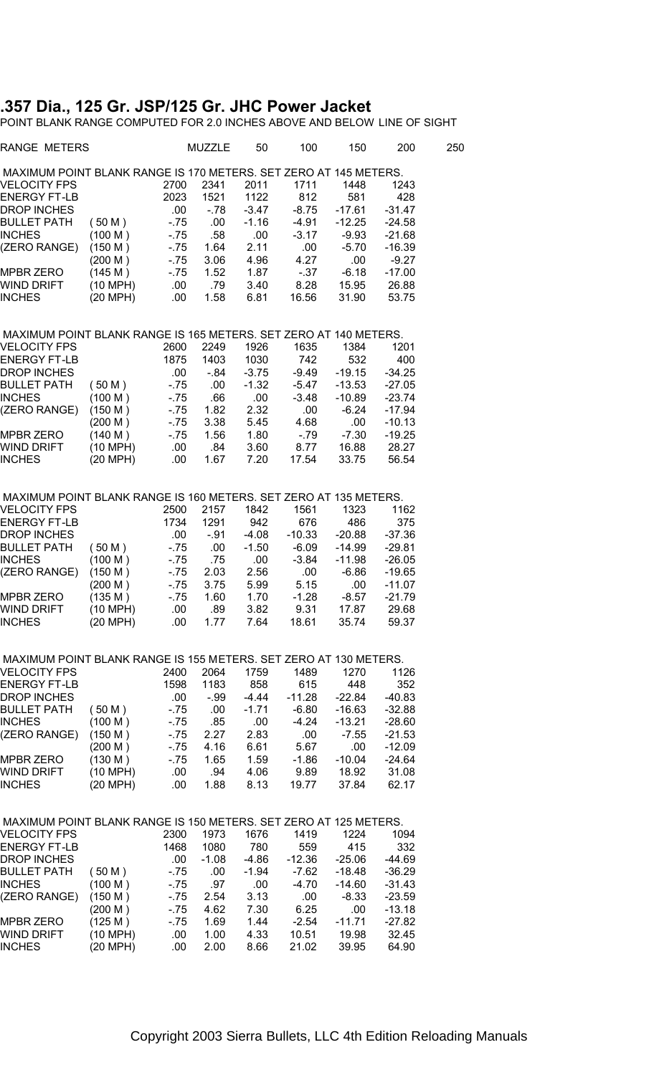## **.357 Dia., 125 Gr. JSP/125 Gr. JHC Power Jacket**

POINT BLANK RANGE COMPUTED FOR 2.0 INCHES ABOVE AND BELOW LINE OF SIGHT

| RANGE METERS                                                     |                     |            | <b>MUZZLE</b> | 50           | 100           | 150            | 200            | 250 |
|------------------------------------------------------------------|---------------------|------------|---------------|--------------|---------------|----------------|----------------|-----|
| MAXIMUM POINT BLANK RANGE IS 170 METERS. SET ZERO AT 145 METERS. |                     |            |               |              |               |                |                |     |
| VELOCITY FPS                                                     |                     | 2700       | 2341          | 2011         | 1711          | 1448           | 1243           |     |
| ENERGY FT-LB                                                     |                     | 2023       | 1521          | 1122         | 812           | 581            | 428            |     |
| <b>DROP INCHES</b>                                               |                     | .00        | - 78          | -3.47        | $-8.75$       | $-17.61$       | $-31.47$       |     |
| <b>BULLET PATH</b>                                               | (50M)               | $-75$      | .00           | $-1.16$      | $-4.91$       | $-12.25$       | $-24.58$       |     |
| <b>INCHES</b>                                                    | (100 M)             | $-75$      | .58           | .00          | $-3.17$       | $-9.93$        | $-21.68$       |     |
| (ZERO RANGE)                                                     | (150 M)             | $-75$      | 1.64          | 2.11         | .00           | $-5.70$        | $-16.39$       |     |
|                                                                  | (200 M)             | $-75$      | 3.06          | 4.96         | 4.27          | .00            | $-9.27$        |     |
| <b>MPBR ZERO</b>                                                 | (145 M)             | $-75$      | 1.52          | 1.87         | $-37$         | $-6.18$        | $-17.00$       |     |
| WIND DRIFT                                                       | (10 MPH)            | .00.       | .79           | 3.40         | 8.28          | 15.95          | 26.88          |     |
| <b>INCHES</b>                                                    | (20 MPH)            | .00        | 1.58          | 6.81         | 16.56         | 31.90          | 53.75          |     |
| MAXIMUM POINT BLANK RANGE IS 165 METERS. SET ZERO AT 140 METERS. |                     |            |               |              |               |                |                |     |
| <b>VELOCITY FPS</b>                                              |                     | 2600       | 2249          | 1926         | 1635          | 1384           | 1201           |     |
| <b>ENERGY FT-LB</b>                                              |                     | 1875       | 1403          | 1030         | 742           | 532            | 400            |     |
| <b>DROP INCHES</b>                                               |                     | .00        | $-84$         | $-3.75$      | -9.49         | $-19.15$       | $-34.25$       |     |
| <b>BULLET PATH</b>                                               | (50 M)              | $-75$      | .00           | $-1.32$      | -5.47         | $-13.53$       | $-27.05$       |     |
| <b>INCHES</b>                                                    | (100 M)             | - 75       | .66           | .00          | $-3.48$       | $-10.89$       | $-23.74$       |     |
| (ZERO RANGE)                                                     | (150 M)             | - 75       | 1.82          | 2.32         | .00           | $-6.24$        | $-17.94$       |     |
|                                                                  | (200 M)             | $-75$      | 3.38          | 5.45         | 4.68          | .00.           | $-10.13$       |     |
| <b>MPBR ZERO</b>                                                 |                     |            |               |              |               |                |                |     |
|                                                                  | (140 M)             | $-75$      | 1.56          | 1.80         | $-79$         | $-7.30$        | $-19.25$       |     |
| WIND DRIFT                                                       | (10 MPH)            | .00        | .84           | 3.60         | 8.77          | 16.88          | 28.27          |     |
| <b>INCHES</b>                                                    | (20 MPH)            | .00.       | 1.67          | 7.20         | 17.54         | 33.75          | 56.54          |     |
| MAXIMUM POINT BLANK RANGE IS 160 METERS. SET ZERO AT 135 METERS. |                     |            |               |              |               |                |                |     |
| VELOCITY FPS                                                     |                     | 2500       | 2157          | 1842         | 1561          | 1323           | 1162           |     |
| <b>ENERGY FT-LB</b>                                              |                     | 1734       | 1291          | 942          | 676           | 486            | 375            |     |
| <b>DROP INCHES</b>                                               |                     | .00.       | $-91$         | -4.08        | $-10.33$      | $-20.88$       | $-37.36$       |     |
| BULLET PATH                                                      | (50 M)              | $-75$      | .00           | $-1.50$      | $-6.09$       | $-14.99$       | $-29.81$       |     |
| <b>INCHES</b>                                                    | (100 M)             | - 75       | .75           | .00          | $-3.84$       | $-11.98$       | $-26.05$       |     |
| (ZERO RANGE)                                                     | (150 M)             | - 75       | 2.03          | 2.56         | .00           | $-6.86$        | $-19.65$       |     |
|                                                                  | (200 M)             | - 75       | 3.75          | 5.99         | 5.15          | .00            | $-11.07$       |     |
| <b>MPBR ZERO</b>                                                 | (135 M)             | $-75$      | 1.60          | 1.70         | $-1.28$       | $-8.57$        | $-21.79$       |     |
| WIND DRIFT                                                       | (10 MPH)            | .00        | .89           | 3.82         | 9.31          | 17.87          | 29.68          |     |
| <b>INCHES</b>                                                    | (20 MPH)            | .00.       | 1.77          | 7.64         | 18.61         | 35.74          | 59.37          |     |
| MAXIMUM POINT BLANK RANGE IS 155 METERS. SET ZERO AT 130 METERS. |                     |            |               |              |               |                |                |     |
| <b>VELOCITY FPS</b>                                              |                     | 2400       | 2064          | 1759         | 1489          | 1270           | 1126           |     |
| <b>ENERGY FT-LB</b>                                              |                     | 1598       | 1183          | 858          | 615           | 448            | 352            |     |
| <b>DROP INCHES</b>                                               |                     | .00        | $-.99$        | -4.44        | $-11.28$      | $-22.84$       | $-40.83$       |     |
| <b>BULLET PATH</b>                                               | (50 M)              | $-75$      | .00           | $-1.71$      | $-6.80$       | $-16.63$       | $-32.88$       |     |
| <b>INCHES</b>                                                    | (100 M)             | - 75       | .85           | .00          | $-4.24$       | $-13.21$       | $-28.60$       |     |
| (ZERO RANGE)                                                     | (150 M )            | - 75       | 2.27          | 2.83         | .00           | $-7.55$        | $-21.53$       |     |
|                                                                  | (200 M)             | - 75       | 4.16          | 6.61         | 5.67          | .00            | $-12.09$       |     |
|                                                                  |                     |            | 1.65          |              |               |                |                |     |
| MPBR ZERO                                                        | (130 M)<br>(10 MPH) | - 75       |               | 1.59         | $-1.86$       | -10.04         | -24.64         |     |
| WIND DRIFT<br><b>INCHES</b>                                      | (20 MPH)            | .00<br>.00 | .94<br>1.88   | 4.06<br>8.13 | 9.89<br>19.77 | 18.92<br>37.84 | 31.08<br>62.17 |     |
|                                                                  |                     |            |               |              |               |                |                |     |
| MAXIMUM POINT BLANK RANGE IS 150 METERS. SET ZERO AT 125 METERS. |                     |            |               |              |               |                |                |     |
| <b>VELOCITY FPS</b>                                              |                     | 2300       | 1973          | 1676         | 1419          | 1224           | 1094           |     |
| <b>ENERGY FT-LB</b>                                              |                     | 1468       | 1080          | 780          | 559           | 415            | 332            |     |
| DROP INCHES                                                      |                     | .00        | $-1.08$       | -4.86        | $-12.36$      | $-25.06$       | -44.69         |     |
| <b>BULLET PATH</b>                                               | (50 M)              | - 75       | .00           | $-1.94$      | $-7.62$       | $-18.48$       | -36.29         |     |
| <b>INCHES</b>                                                    | (100 M)             | $-75$      | .97           | .00          | $-4.70$       | $-14.60$       | $-31.43$       |     |
| (ZERO RANGE)                                                     | (150 M)             | $-75$      | 2.54          | 3.13         | .00           | $-8.33$        | $-23.59$       |     |
|                                                                  | (200 M)             | - 75       | 4.62          | 7.30         | 6.25          | .00            | $-13.18$       |     |
| <b>MPBR ZERO</b>                                                 | (125 M )            | - 75       | 1.69          | 1.44         | $-2.54$       | $-11.71$       | $-27.82$       |     |
| WIND DRIFT                                                       | (10 MPH)            | .00        | 1.00          | 4.33         | 10.51         | 19.98          | 32.45          |     |
| INCHES                                                           | (20 MPH)            | .00        | 2.00          | 8.66         | 21.02         | 39.95          | 64.90          |     |
|                                                                  |                     |            |               |              |               |                |                |     |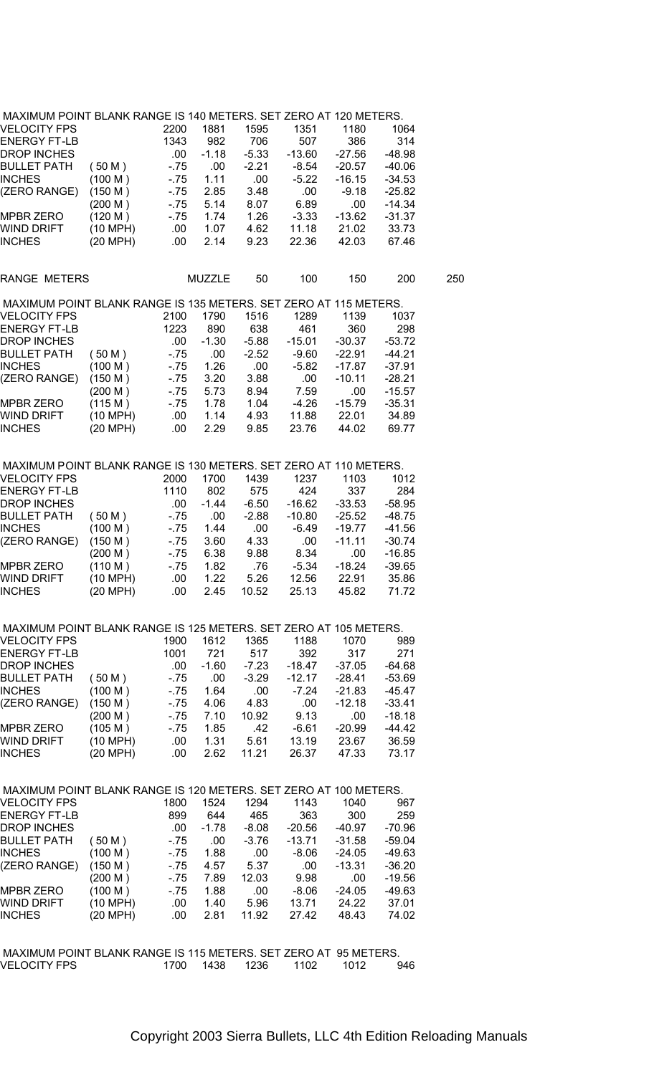| MAXIMUM POINT BLANK RANGE IS 140 METERS. SET ZERO AT 120 METERS. |  |  |
|------------------------------------------------------------------|--|--|
|                                                                  |  |  |

| MAXIMUM POINT BLANK RANGE IS 140 METERS. SET ZERO AT 120 METERS. |          |       |               |         |          |          |          |     |
|------------------------------------------------------------------|----------|-------|---------------|---------|----------|----------|----------|-----|
| VELOCITY FPS                                                     |          | 2200  | 1881          | 1595    | 1351     | 1180     | 1064     |     |
| ENERGY FT-LB                                                     |          | 1343  | 982           | 706     | 507      | 386      | 314      |     |
| DROP INCHES                                                      |          | .00   | $-1.18$       | $-5.33$ | $-13.60$ | $-27.56$ | $-48.98$ |     |
| <b>BULLET PATH</b>                                               | (50 M)   | $-75$ | .00.          | $-2.21$ | $-8.54$  | $-20.57$ | $-40.06$ |     |
| <b>INCHES</b>                                                    | (100 M)  | $-75$ | 1.11          | .00.    | $-5.22$  | $-16.15$ | $-34.53$ |     |
| (ZERO RANGE)                                                     | (150 M)  | $-75$ | 2.85          | 3.48    | .00.     | $-9.18$  | $-25.82$ |     |
|                                                                  | (200 M)  | $-75$ | 5.14          | 8.07    | 6.89     | .00      | $-14.34$ |     |
| MPBR ZERO                                                        | (120 M)  | $-75$ | 1.74          | 1.26    | $-3.33$  | $-13.62$ | $-31.37$ |     |
| WIND DRIFT                                                       | (10 MPH) | .00   | 1.07          | 4.62    | 11.18    | 21.02    | 33.73    |     |
| <b>INCHES</b>                                                    | (20 MPH) | .00   | 2.14          | 9.23    | 22.36    | 42.03    | 67.46    |     |
|                                                                  |          |       |               |         |          |          |          |     |
| RANGE METERS                                                     |          |       | <b>MUZZLE</b> | 50      | 100      | 150      | 200      | 250 |
| MAXIMUM POINT BLANK RANGE IS 135 METERS. SET ZERO AT 115 METERS. |          |       |               |         |          |          |          |     |
| VELOCITY FPS                                                     |          | 2100  | 1790          | 1516    | 1289     | 1139     | 1037     |     |
| <b>ENERGY FT-LB</b>                                              |          | 1223  | 890           | 638     | 461      | 360      | 298      |     |
| DROP INCHES                                                      |          | .00.  | $-1.30$       | $-5.88$ | $-15.01$ | $-30.37$ | $-53.72$ |     |
| <b>BULLET PATH</b>                                               | (50 M)   | $-75$ | .00.          | $-2.52$ | $-9.60$  | $-22.91$ | $-44.21$ |     |
| <b>INCHES</b>                                                    | (100 M)  | $-75$ | 1.26          | .00     | $-5.82$  | $-17.87$ | $-37.91$ |     |
| (ZERO RANGE)                                                     | (150 M)  | - 75  | 3.20          | 3.88    | .00.     | $-10.11$ | $-28.21$ |     |
|                                                                  | (200 M)  | $-75$ | 5.73          | 8.94    | 7.59     | .00      | $-15.57$ |     |
| MPBR ZERO                                                        | (115 M)  | $-75$ | 1.78          | 1.04    | $-4.26$  | $-15.79$ | $-35.31$ |     |
| WIND DRIFT                                                       | (10 MPH) | .00.  | 1.14          | 4.93    | 11.88    | 22.01    | 34.89    |     |
| <b>INCHES</b>                                                    | (20 MPH) | .00.  | 2.29          | 9.85    | 23.76    | 44.02    | 69.77    |     |
|                                                                  |          |       |               |         |          |          |          |     |
| MAXIMUM POINT BLANK RANGE IS 130 METERS. SET ZERO AT 110 METERS. |          |       |               |         |          |          |          |     |
| VELOCITY FPS                                                     |          | 2000  | 1700          | 1439    | 1237     | 1103     | 1012     |     |
| <b>ENERGY FT-LB</b>                                              |          | 1110  | 802           | 575     | 424      | 337      | 284      |     |
| DROP INCHES                                                      |          | .00.  | $-1.44$       | $-6.50$ | $-16.62$ | $-33.53$ | $-58.95$ |     |
| <b>BULLET PATH</b>                                               | (50 M)   | $-75$ | .00.          | $-2.88$ | $-10.80$ | $-25.52$ | $-48.75$ |     |
| <b>INCHES</b>                                                    | (100 M)  | $-75$ | 1.44          | .00     | $-6.49$  | $-19.77$ | $-41.56$ |     |
| (ZERO RANGE)                                                     | (150 M)  | $-75$ | 3.60          | 4.33    | .00      | $-11.11$ | $-30.74$ |     |
|                                                                  | (200 M)  | $-75$ | 6.38          | 9.88    | 8.34     | .00      | $-16.85$ |     |
| MPBR ZERO                                                        | (110 M)  | $-75$ | 1.82          | .76     | $-5.34$  | $-18.24$ | $-39.65$ |     |
| WIND DRIFT                                                       | (10 MPH) | .00.  | 1.22          | 5.26    | 12.56    | 22.91    | 35.86    |     |
| <b>INCHES</b>                                                    | (20 MPH) | .00.  | 2.45          | 10.52   | 25.13    | 45.82    | 71.72    |     |
| MAXIMUM POINT BLANK RANGE IS 125 METERS. SET ZERO AT 105 METERS. |          |       |               |         |          |          |          |     |
| VELOCITY FPS                                                     |          | 1900  | 1612          | 1365    | 1188     | 1070     | 989      |     |
| <b>ENERGY FT-LB</b>                                              |          | 1001  | 721           | 517     | 392      | 317      | 271      |     |
| DROP INCHES                                                      |          | .00   | $-1.60$       | $-7.23$ | $-18.47$ | $-37.05$ | $-64.68$ |     |
| BULLET PATH                                                      |          | $-75$ | .00           | $-3.29$ | $-12.17$ | $-28.41$ | $-53.69$ |     |
|                                                                  | (50 M)   |       |               |         |          |          |          |     |
| <b>INCHES</b>                                                    | (100 M)  | $-75$ | 1.64          | .00     | $-7.24$  | $-21.83$ | $-45.47$ |     |
| (ZERO RANGE)                                                     | (150 M)  | $-75$ | 4.06          | 4.83    | .00.     | $-12.18$ | $-33.41$ |     |
|                                                                  | (200 M)  | - 75  | 7.10          | 10.92   | 9.13     | .00      | $-18.18$ |     |
| <b>MPBR ZERO</b>                                                 | (105 M)  | $-75$ | 1.85          | .42     | $-6.61$  | $-20.99$ | $-44.42$ |     |
| WIND DRIFT                                                       | (10 MPH) | .00   | 1.31          | 5.61    | 13.19    | 23.67    | 36.59    |     |
| <b>INCHES</b>                                                    | (20 MPH) | .00   | 2.62          | 11.21   | 26.37    | 47.33    | 73.17    |     |
|                                                                  |          |       |               |         |          |          |          |     |

| MAXIMUM POINT BLANK RANGE IS 120 METERS. SET ZERO AT 100 METERS. |          |       |         |         |          |          |          |
|------------------------------------------------------------------|----------|-------|---------|---------|----------|----------|----------|
| <b>VELOCITY FPS</b>                                              |          | 1800  | 1524    | 1294    | 1143     | 1040     | 967      |
| <b>ENERGY FT-LB</b>                                              |          | 899   | 644     | 465     | 363      | 300      | 259      |
| <b>DROP INCHES</b>                                               |          | .00   | $-1.78$ | $-8.08$ | $-20.56$ | $-40.97$ | $-70.96$ |
| <b>BULLET PATH</b>                                               | 50 M)    | $-75$ | .00     | $-3.76$ | $-13.71$ | $-31.58$ | $-59.04$ |
| <b>INCHES</b>                                                    | (100 M)  | - 75  | 1.88    | .00     | $-8.06$  | $-24.05$ | $-49.63$ |
| (ZERO RANGE)                                                     | (150 M)  | - 75  | 4.57    | 5.37    | .00      | $-13.31$ | $-36.20$ |
|                                                                  | (200 M ) | - 75  | 7.89    | 12.03   | 9.98     | .00      | $-19.56$ |
| <b>MPBR ZERO</b>                                                 | (100 M)  | $-75$ | 1.88    | .00     | $-8.06$  | $-24.05$ | $-49.63$ |
| <b>WIND DRIFT</b>                                                | (10 MPH) | .00   | 1.40    | 5.96    | 13.71    | 24.22    | 37.01    |
| <b>INCHES</b>                                                    | (20 MPH) | .00   | 2.81    | 11.92   | 27.42    | 48.43    | 74.02    |
|                                                                  |          |       |         |         |          |          |          |

| I MAXIMUM POINT BLANK RANGE IS 115 METERS. SET ZERO AT 95 METERS. |           |      |      |      |     |
|-------------------------------------------------------------------|-----------|------|------|------|-----|
| VELOCITY FPS                                                      | 1700 1438 | 1236 | 1102 | 1012 | 946 |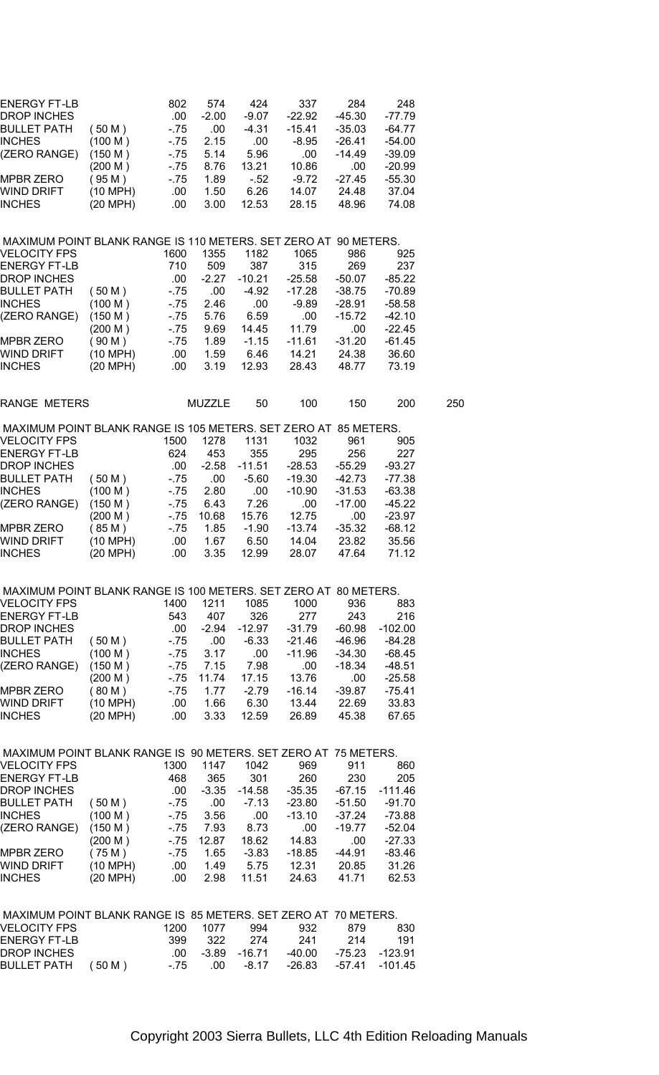| ENERGY FT-LB                                                                    |                    | 802   | 574           | 424      | 337      | 284      | 248       |     |
|---------------------------------------------------------------------------------|--------------------|-------|---------------|----------|----------|----------|-----------|-----|
| DROP INCHES                                                                     |                    | .00.  | $-2.00$       | -9.07    | $-22.92$ | $-45.30$ | -77.79    |     |
| BULLET PATH                                                                     | (50 M)             | $-75$ | .00           | $-4.31$  | -15.41   | $-35.03$ | -64.77    |     |
| INCHES                                                                          | (100 M)            | $-75$ | 2.15          | .00      | $-8.95$  | $-26.41$ | $-54.00$  |     |
| (ZERO RANGE)                                                                    | (150 M)            | $-75$ | 5.14          | 5.96     | .00      | $-14.49$ | $-39.09$  |     |
|                                                                                 | (200 M)            | - 75  | 8.76          | 13.21    | 10.86    | .00      | $-20.99$  |     |
| MPBR ZERO                                                                       | (95 M)             | - 75  | 1.89          | $-52$    | $-9.72$  | $-27.45$ | $-55.30$  |     |
| WIND DRIFT                                                                      | (10 MPH)           | .00   | 1.50          | 6.26     | 14.07    | 24.48    | 37.04     |     |
| INCHES                                                                          | (20 MPH)           | .00   | 3.00          | 12.53    | 28.15    | 48.96    | 74.08     |     |
|                                                                                 |                    |       |               |          |          |          |           |     |
|                                                                                 |                    |       |               |          |          |          |           |     |
| MAXIMUM POINT BLANK RANGE IS 110 METERS. SET ZERO AT 90 METERS.<br>VELOCITY FPS |                    | 1600  | 1355          | 1182     | 1065     | 986      | 925       |     |
|                                                                                 |                    |       |               |          |          |          |           |     |
| ENERGY FT-LB                                                                    |                    | 710   | 509           | 387      | 315      | 269      | 237       |     |
| DROP INCHES                                                                     |                    | .00.  | $-2.27$       | $-10.21$ | $-25.58$ | $-50.07$ | $-85.22$  |     |
| BULLET PATH                                                                     | (50 M)             | - 75  | .00           | -4.92    | $-17.28$ | $-38.75$ | $-70.89$  |     |
| INCHES                                                                          | (100 M)            | $-75$ | 2.46          | .00      | $-9.89$  | -28.91   | $-58.58$  |     |
| (ZERO RANGE)                                                                    | (150 M)            | $-75$ | 5.76          | 6.59     | .00      | $-15.72$ | $-42.10$  |     |
|                                                                                 | (200 M)            | - 75  | 9.69          | 14.45    | 11.79    | .00      | $-22.45$  |     |
| MPBR ZERO                                                                       | (90 M)             | $-75$ | 1.89          | $-1.15$  | $-11.61$ | $-31.20$ | $-61.45$  |     |
| WIND DRIFT                                                                      | (10 MPH)           | .00   | 1.59          | 6.46     | 14.21    | 24.38    | 36.60     |     |
| INCHES                                                                          | (20 MPH)           | .00   | 3.19          | 12.93    | 28.43    | 48.77    | 73.19     |     |
| <b>RANGE METERS</b>                                                             |                    |       | <b>MUZZLE</b> | 50       | 100      | 150      | 200       | 250 |
|                                                                                 |                    |       |               |          |          |          |           |     |
| MAXIMUM POINT BLANK RANGE IS 105 METERS. SET ZERO AT 85 METERS.<br>VELOCITY FPS |                    | 1500  | 1278          | 1131     | 1032     | 961      | 905       |     |
| <b>ENERGY FT-LB</b>                                                             |                    |       |               |          |          |          |           |     |
|                                                                                 |                    | 624   | 453           | 355      | 295      | 256      | 227       |     |
| DROP INCHES                                                                     |                    | .00   | $-2.58$       | $-11.51$ | $-28.53$ | $-55.29$ | $-93.27$  |     |
| BULLET PATH                                                                     | (50 M)             | - 75  | .00           | $-5.60$  | $-19.30$ | $-42.73$ | $-77.38$  |     |
| INCHES                                                                          | (100 M)            | - 75  | 2.80          | .00      | $-10.90$ | -31.53   | $-63.38$  |     |
| (ZERO RANGE)                                                                    | (150 M)            | $-75$ | 6.43          | 7.26     | .00.     | $-17.00$ | $-45.22$  |     |
|                                                                                 | (200 M)            | - 75  | 10.68         | 15.76    | 12.75    | .00      | $-23.97$  |     |
| MPBR ZERO                                                                       | (85M)              | $-75$ | 1.85          | $-1.90$  | $-13.74$ | $-35.32$ | $-68.12$  |     |
| WIND DRIFT                                                                      | (10 MPH)           | .00   | 1.67          | 6.50     | 14.04    | 23.82    | 35.56     |     |
| INCHES                                                                          | (20 MPH)           | .00   | 3.35          | 12.99    | 28.07    | 47.64    | 71.12     |     |
|                                                                                 |                    |       |               |          |          |          |           |     |
| MAXIMUM POINT BLANK RANGE IS 100 METERS. SET ZERO AT 80 METERS.                 |                    |       |               |          |          |          |           |     |
| VELOCITY FPS                                                                    |                    | 1400  | 1211          | 1085     | 1000     | 936      | 883       |     |
| ENERGY FT-LB                                                                    |                    | 543   | 407           | 326      | 277      | 243      | 216       |     |
| DROP INCHES                                                                     |                    | .00.  | $-2.94$       | $-12.97$ | -31.79   | $-60.98$ | $-102.00$ |     |
| BULLET PATH                                                                     | (50 M)             | - 75  | .00           | $-6.33$  | -21.46   | $-46.96$ | -84.28    |     |
| <b>INCHES</b>                                                                   | (100 M)            | $-75$ | 3.17          | .00      | $-11.96$ | $-34.30$ | $-68.45$  |     |
| (ZERO RANGE)                                                                    | (150 M)            | - 75  | 7.15          | 7.98     | .00      | $-18.34$ | $-48.51$  |     |
|                                                                                 | (200 M)            | $-75$ | 11.74         | 17.15    | 13.76    | .00      | $-25.58$  |     |
| MPBR ZERO                                                                       | (80 M)             | $-75$ | 1.77          | $-2.79$  | $-16.14$ | -39.87   | $-75.41$  |     |
| WIND DRIF I                                                                     | $(10 \text{ MPH})$ | .00   | 1.66          | 6.30     | 13.44    | 22.69    | 33.83     |     |
| <b>INCHES</b>                                                                   | (20 MPH)           | .00   | 3.33          | 12.59    | 26.89    | 45.38    | 67.65     |     |
|                                                                                 |                    |       |               |          |          |          |           |     |
| MAXIMUM POINT BLANK RANGE IS 90 METERS. SET ZERO AT 75 METERS.                  |                    |       |               |          |          |          |           |     |
| <b>VELOCITY FPS</b>                                                             |                    | 1300  | 1147          | 1042     | 969      | 911      | 860       |     |
| <b>ENERGY FT-LB</b>                                                             |                    | 468   | 365           | 301      | 260      | 230      | 205       |     |
| DROP INCHES                                                                     |                    | .00   | $-3.35$       | $-14.58$ | $-35.35$ | $-67.15$ | $-111.46$ |     |
| BULLET PATH                                                                     | (50 M)             | - 75  | .00           | $-7.13$  | $-23.80$ | $-51.50$ | $-91.70$  |     |
| <b>INCHES</b>                                                                   | (100 M)            | - 75  | 3.56          | .00      | $-13.10$ | $-37.24$ | $-73.88$  |     |
| (ZERO RANGE)                                                                    | (150 M)            | - 75  | 7.93          | 8.73     | .00      | $-19.77$ | $-52.04$  |     |
|                                                                                 | (200 M)            | $-75$ | 12.87         | 18.62    | 14.83    | .00      | $-27.33$  |     |
| <b>MPBR ZERO</b>                                                                | (75M)              | $-75$ | 1.65          | $-3.83$  | $-18.85$ | $-44.91$ | $-83.46$  |     |
| WIND DRIFT                                                                      | (10 MPH)           | .00   | 1.49          | 5.75     | 12.31    | 20.85    | 31.26     |     |
| <b>INCHES</b>                                                                   | (20 MPH)           | .00.  | 2.98          | 11.51    | 24.63    | 41.71    | 62.53     |     |
|                                                                                 |                    |       |               |          |          |          |           |     |
| MAXIMUM POINT BLANK RANGE IS 85 METERS. SET ZERO AT 70 METERS.                  |                    |       |               |          |          |          |           |     |
| <b>VELOCITY FPS</b>                                                             |                    | 1200  | 1077          | 994      | 932      | 879      | 830       |     |
| ENERGY FT-LB                                                                    |                    | 399   | 322           | 274      | 241      | 214      | 191       |     |
| DROP INCHES                                                                     |                    | .00   | $-3.89$       | $-16.71$ | $-40.00$ | $-75.23$ | $-123.91$ |     |
| <b>BULLET PATH</b>                                                              | (50 M)             | $-75$ | .00           | $-8.17$  | $-26.83$ | $-57.41$ | $-101.45$ |     |